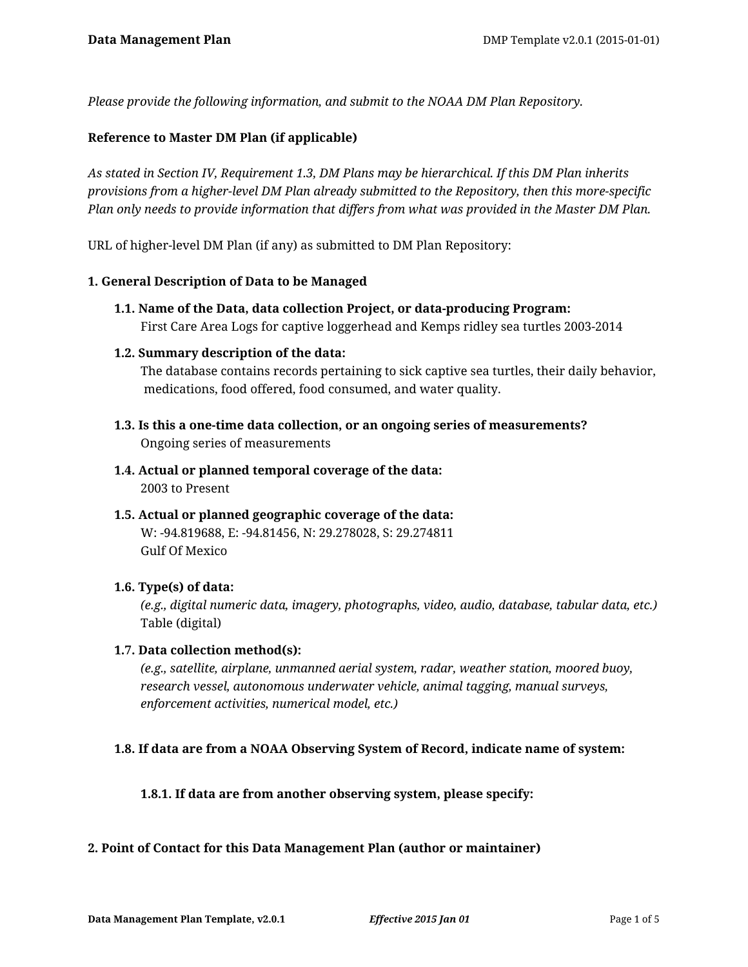*Please provide the following information, and submit to the NOAA DM Plan Repository.*

#### **Reference to Master DM Plan (if applicable)**

*As stated in Section IV, Requirement 1.3, DM Plans may be hierarchical. If this DM Plan inherits provisions from a higher-level DM Plan already submitted to the Repository, then this more-specific Plan only needs to provide information that differs from what was provided in the Master DM Plan.*

URL of higher-level DM Plan (if any) as submitted to DM Plan Repository:

#### **1. General Description of Data to be Managed**

**1.1. Name of the Data, data collection Project, or data-producing Program:** First Care Area Logs for captive loggerhead and Kemps ridley sea turtles 2003-2014

#### **1.2. Summary description of the data:**

The database contains records pertaining to sick captive sea turtles, their daily behavior, medications, food offered, food consumed, and water quality.

- **1.3. Is this a one-time data collection, or an ongoing series of measurements?** Ongoing series of measurements
- **1.4. Actual or planned temporal coverage of the data:** 2003 to Present
- **1.5. Actual or planned geographic coverage of the data:** W: -94.819688, E: -94.81456, N: 29.278028, S: 29.274811 Gulf Of Mexico

#### **1.6. Type(s) of data:**

*(e.g., digital numeric data, imagery, photographs, video, audio, database, tabular data, etc.)* Table (digital)

#### **1.7. Data collection method(s):**

*(e.g., satellite, airplane, unmanned aerial system, radar, weather station, moored buoy, research vessel, autonomous underwater vehicle, animal tagging, manual surveys, enforcement activities, numerical model, etc.)*

#### **1.8. If data are from a NOAA Observing System of Record, indicate name of system:**

**1.8.1. If data are from another observing system, please specify:**

#### **2. Point of Contact for this Data Management Plan (author or maintainer)**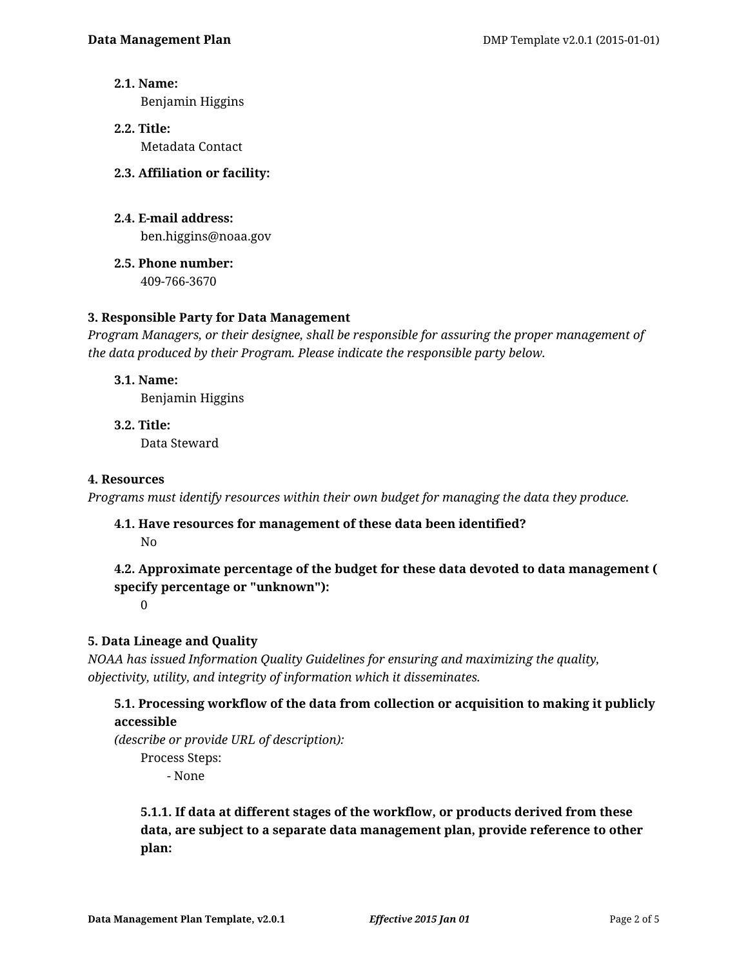**2.1. Name:**

Benjamin Higgins

- **2.2. Title:** Metadata Contact
- **2.3. Affiliation or facility:**
- **2.4. E-mail address:** ben.higgins@noaa.gov
- **2.5. Phone number:** 409-766-3670

# **3. Responsible Party for Data Management**

*Program Managers, or their designee, shall be responsible for assuring the proper management of the data produced by their Program. Please indicate the responsible party below.*

**3.1. Name:**

Benjamin Higgins

**3.2. Title:** Data Steward

## **4. Resources**

*Programs must identify resources within their own budget for managing the data they produce.*

**4.1. Have resources for management of these data been identified?** No

# **4.2. Approximate percentage of the budget for these data devoted to data management ( specify percentage or "unknown"):**

0

# **5. Data Lineage and Quality**

*NOAA has issued Information Quality Guidelines for ensuring and maximizing the quality, objectivity, utility, and integrity of information which it disseminates.*

# **5.1. Processing workflow of the data from collection or acquisition to making it publicly accessible**

*(describe or provide URL of description):*

Process Steps:

- None

**5.1.1. If data at different stages of the workflow, or products derived from these data, are subject to a separate data management plan, provide reference to other plan:**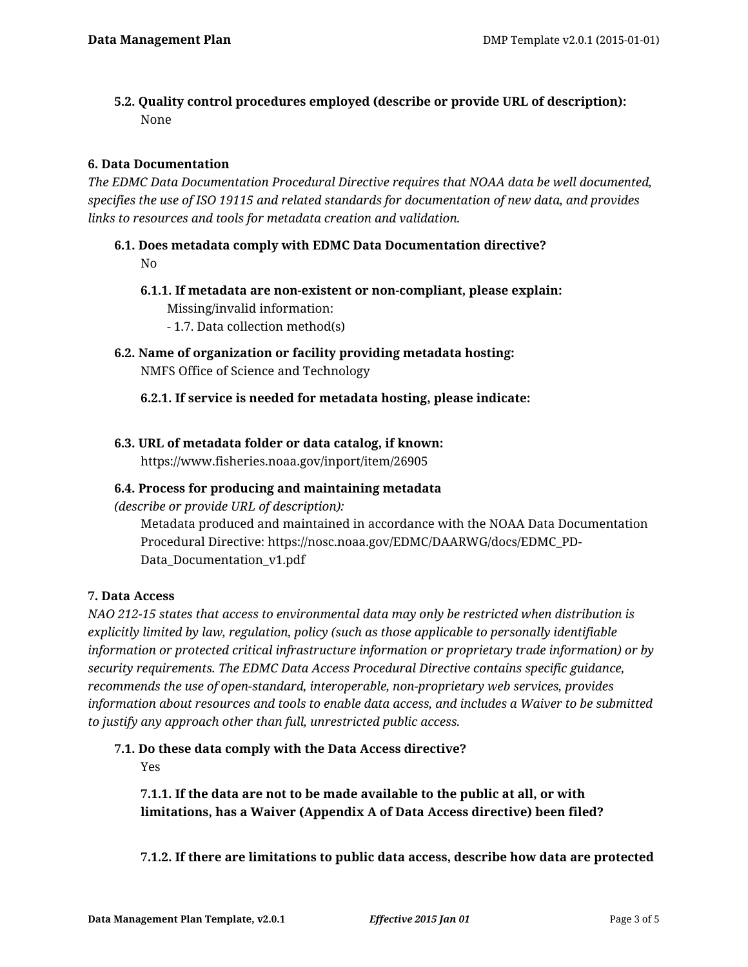**5.2. Quality control procedures employed (describe or provide URL of description):** None

## **6. Data Documentation**

*The EDMC Data Documentation Procedural Directive requires that NOAA data be well documented, specifies the use of ISO 19115 and related standards for documentation of new data, and provides links to resources and tools for metadata creation and validation.*

- **6.1. Does metadata comply with EDMC Data Documentation directive?** No
	- **6.1.1. If metadata are non-existent or non-compliant, please explain:** Missing/invalid information: - 1.7. Data collection method(s)
- **6.2. Name of organization or facility providing metadata hosting:** NMFS Office of Science and Technology

**6.2.1. If service is needed for metadata hosting, please indicate:**

**6.3. URL of metadata folder or data catalog, if known:** https://www.fisheries.noaa.gov/inport/item/26905

## **6.4. Process for producing and maintaining metadata**

*(describe or provide URL of description):*

Metadata produced and maintained in accordance with the NOAA Data Documentation Procedural Directive: https://nosc.noaa.gov/EDMC/DAARWG/docs/EDMC\_PD-Data\_Documentation\_v1.pdf

## **7. Data Access**

*NAO 212-15 states that access to environmental data may only be restricted when distribution is explicitly limited by law, regulation, policy (such as those applicable to personally identifiable information or protected critical infrastructure information or proprietary trade information) or by security requirements. The EDMC Data Access Procedural Directive contains specific guidance, recommends the use of open-standard, interoperable, non-proprietary web services, provides information about resources and tools to enable data access, and includes a Waiver to be submitted to justify any approach other than full, unrestricted public access.*

## **7.1. Do these data comply with the Data Access directive?**

Yes

**7.1.1. If the data are not to be made available to the public at all, or with limitations, has a Waiver (Appendix A of Data Access directive) been filed?**

**7.1.2. If there are limitations to public data access, describe how data are protected**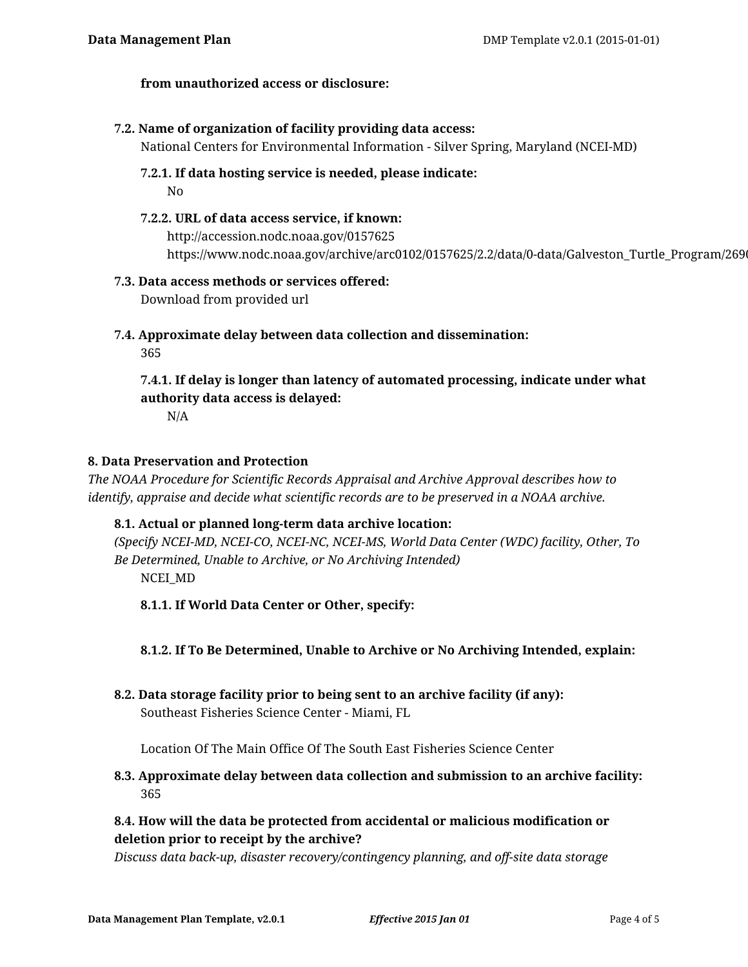#### **from unauthorized access or disclosure:**

#### **7.2. Name of organization of facility providing data access:**

National Centers for Environmental Information - Silver Spring, Maryland (NCEI-MD)

**7.2.1. If data hosting service is needed, please indicate:**

No

**7.2.2. URL of data access service, if known:** http://accession.nodc.noaa.gov/0157625 https://www.nodc.noaa.gov/archive/arc0102/0157625/2.2/data/0-data/Galveston\_Turtle\_Program/26905/

#### **7.3. Data access methods or services offered:**

Download from provided url

**7.4. Approximate delay between data collection and dissemination:**

365

**7.4.1. If delay is longer than latency of automated processing, indicate under what authority data access is delayed:**

N/A

#### **8. Data Preservation and Protection**

*The NOAA Procedure for Scientific Records Appraisal and Archive Approval describes how to identify, appraise and decide what scientific records are to be preserved in a NOAA archive.*

## **8.1. Actual or planned long-term data archive location:**

*(Specify NCEI-MD, NCEI-CO, NCEI-NC, NCEI-MS, World Data Center (WDC) facility, Other, To Be Determined, Unable to Archive, or No Archiving Intended)* NCEI\_MD

**8.1.1. If World Data Center or Other, specify:**

## **8.1.2. If To Be Determined, Unable to Archive or No Archiving Intended, explain:**

**8.2. Data storage facility prior to being sent to an archive facility (if any):** Southeast Fisheries Science Center - Miami, FL

Location Of The Main Office Of The South East Fisheries Science Center

## **8.3. Approximate delay between data collection and submission to an archive facility:** 365

# **8.4. How will the data be protected from accidental or malicious modification or deletion prior to receipt by the archive?**

*Discuss data back-up, disaster recovery/contingency planning, and off-site data storage*